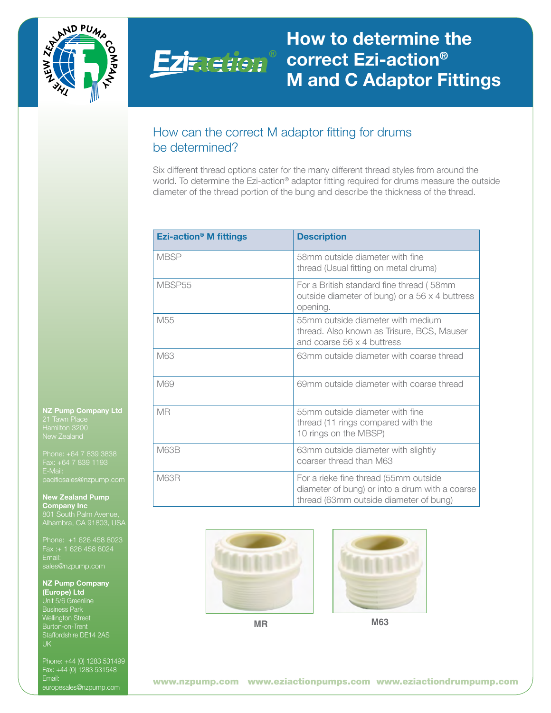



# How to determine the correct Ezi-action® M and C Adaptor Fittings

## How can the correct M adaptor fitting for drums be determined?

Six different thread options cater for the many different thread styles from around the world. To determine the Ezi-action® adaptor fitting required for drums measure the outside diameter of the thread portion of the bung and describe the thickness of the thread.

| <b>Ezi-action<sup>®</sup> M fittings</b> | <b>Description</b>                                                                                                                |
|------------------------------------------|-----------------------------------------------------------------------------------------------------------------------------------|
| <b>MBSP</b>                              | 58mm outside diameter with fine<br>thread (Usual fitting on metal drums)                                                          |
| MBSP <sub>55</sub>                       | For a British standard fine thread (58mm)<br>outside diameter of bung) or a 56 x 4 buttress<br>opening.                           |
| M <sub>55</sub>                          | 55mm outside diameter with medium<br>thread. Also known as Trisure, BCS, Mauser<br>and coarse 56 x 4 buttress                     |
| M63                                      | 63mm outside diameter with coarse thread                                                                                          |
| M69                                      | 69mm outside diameter with coarse thread                                                                                          |
| <b>MR</b>                                | 55mm outside diameter with fine<br>thread (11 rings compared with the<br>10 rings on the MBSP)                                    |
| M63B                                     | 63mm outside diameter with slightly<br>coarser thread than M63                                                                    |
| M63R                                     | For a rieke fine thread (55mm outside<br>diameter of bung) or into a drum with a coarse<br>thread (63mm outside diameter of bung) |

NZ Pump Company Ltd Hamilton 3200 New Zealand

E-Mail: pacificsales@nzpump.com

New Zealand Pump Company Inc 801 South Palm Avenue, Alhambra, CA 91803, USA

Phone: +1 626 458 8023 Fax :+ 1 626 458 8024 Email: sales@nzpump.com

#### NZ Pump Company (Europe) Ltd

Unit 5/6 Greenline Business Park Wellington Street Burton-on-Trent Staffordshire DE14 2AS UK

Phone: +44 (0) 1283 531499 Fax: +44 (0) 1283 531548 Email: europesales@nzpump.com





**MR M63**